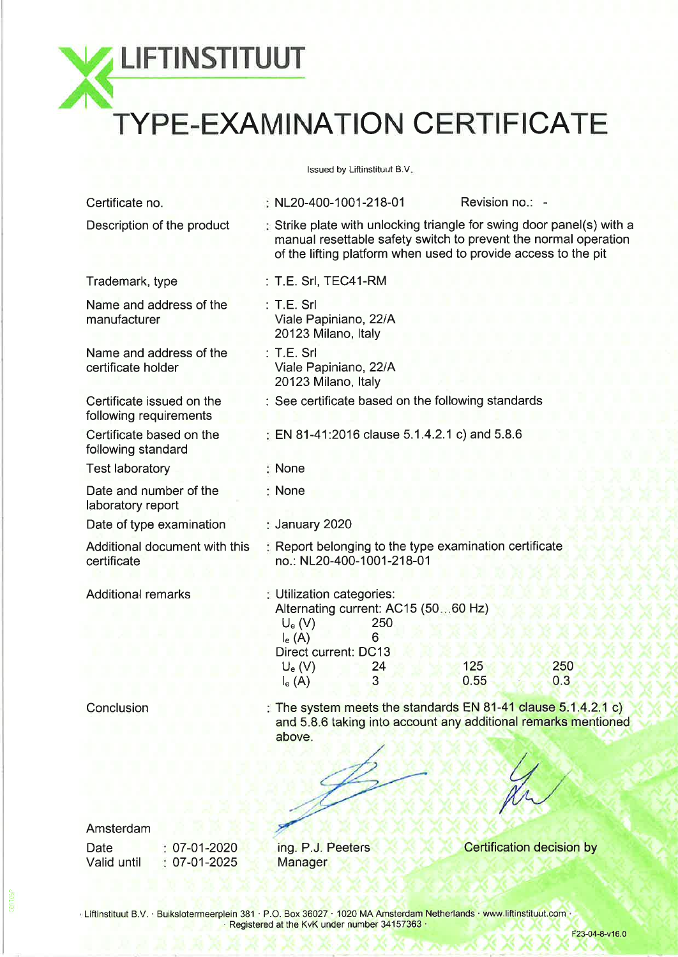**LIFTINSTITUUT** 

# TYPE-EXAMINATION CERTIFICATE

lssued by Liftinstituut B.V

| Certificate no.                                     | $\therefore$ NL20-400-1001-218-01                                                                                                                                                                               |                                                                | Revision no.: - |            |
|-----------------------------------------------------|-----------------------------------------------------------------------------------------------------------------------------------------------------------------------------------------------------------------|----------------------------------------------------------------|-----------------|------------|
| Description of the product                          | $\div$ Strike plate with unlocking triangle for swing door panel(s) with a<br>manual resettable safety switch to prevent the normal operation<br>of the lifting platform when used to provide access to the pit |                                                                |                 |            |
| Trademark, type                                     | $: T.E. Srl, TEC41-RM$                                                                                                                                                                                          |                                                                |                 |            |
| Name and address of the<br>manufacturer             | $:$ T.E. Srl<br>Viale Papiniano, 22/A<br>20123 Milano, Italy                                                                                                                                                    |                                                                |                 |            |
| Name and address of the<br>certificate holder       | $:$ T.E. Srl<br>Viale Papiniano, 22/A<br>20123 Milano, Italy                                                                                                                                                    |                                                                |                 |            |
| Certificate issued on the<br>following requirements | : See certificate based on the following standards                                                                                                                                                              |                                                                |                 |            |
| Certificate based on the<br>following standard      | <b>EN 81-41:2016 clause 5.1.4.2.1 c) and 5.8.6</b>                                                                                                                                                              |                                                                |                 |            |
| <b>Test laboratory</b>                              | : None                                                                                                                                                                                                          |                                                                |                 |            |
| Date and number of the<br>laboratory report         | : None                                                                                                                                                                                                          |                                                                |                 |            |
| Date of type examination                            | : January 2020                                                                                                                                                                                                  |                                                                |                 |            |
| Additional document with this<br>certificate        | Report belonging to the type examination certificate<br>no.: NL20-400-1001-218-01                                                                                                                               |                                                                |                 |            |
| <b>Additional remarks</b>                           | <b>E</b> Utilization categories:<br>Alternating current: AC15 (5060 Hz)<br>$U_e$ (V)<br>$I_e(A)$<br>Direct current: DC13<br>$U_e$ (V)<br>$I_e(A)$                                                               | 250<br>6<br>24<br>$\overline{3}$                               | 125<br>0.55     | 250<br>0.3 |
| Conclusion                                          | The system meets the standards $EN 81-41$ clause $5.1.4.2.1 c$ )<br>above.                                                                                                                                      | and 5.8.6 taking into account any additional remarks mentioned |                 |            |
|                                                     |                                                                                                                                                                                                                 |                                                                |                 |            |

Amsterdam

Date Valid until 07-01-2020 07-01-2025 ing. P.J. Peeters **Manager** 

Certification decision by

 $\mu$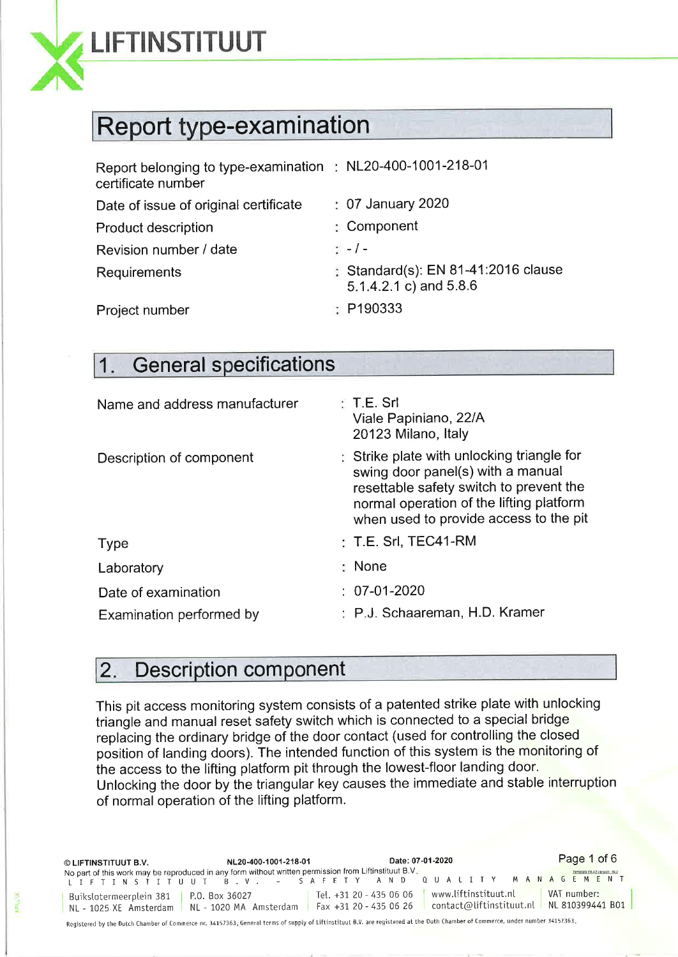

**SRL10E** 

## LIFTINSTITUUT

## Report type-examination

| Report belonging to type-examination : NL20-400-1001-218-01<br>certificate number |                                                               |
|-----------------------------------------------------------------------------------|---------------------------------------------------------------|
| Date of issue of original certificate                                             | $\div$ 07 January 2020                                        |
| Product description                                                               | : Component                                                   |
| Revision number / date                                                            | $\frac{1}{2}$ - / -                                           |
| <b>Requirements</b>                                                               | : Standard(s): EN 81-41:2016 clause<br>5.1.4.2.1 c) and 5.8.6 |
| Project number                                                                    | $\therefore$ P190333                                          |

## 1. General specifications

| Name and address manufacturer | : T.E. Sr1<br>Viale Papiniano, 22/A<br>20123 Milano, Italy                                                                                                                                                     |
|-------------------------------|----------------------------------------------------------------------------------------------------------------------------------------------------------------------------------------------------------------|
| Description of component      | Strike plate with unlocking triangle for<br>swing door panel(s) with a manual<br>resettable safety switch to prevent the<br>normal operation of the lifting platform<br>when used to provide access to the pit |
| <b>Type</b>                   | $:$ T.E. Srl, TEC41-RM                                                                                                                                                                                         |
| Laboratory                    | : None                                                                                                                                                                                                         |
| Date of examination           | $: 07-01-2020$                                                                                                                                                                                                 |
| Examination performed by      | : P.J. Schaareman, H.D. Kramer                                                                                                                                                                                 |

### 2. Description component

This pit access monitoring system consists of a patented strike plate with unlocking triangle and manual reset safety switch which is connected to a special bridge replacing the ordinary bridge of the door contact (used for controlling the closed position of landing doors). The intended function of this system is the monitoring of the access to the lifting platform pit through the lowest-floor landing door. Unlocking the door by the triangular key causes the immediate and stable interruption of normal operation of the lifting platform.

| © LIFTINSTITUUT B.V.                     | NL20-400-1001-218-01                                                                                  | Date: 07-01-2020                                                         | Page 1 of 6                                              |
|------------------------------------------|-------------------------------------------------------------------------------------------------------|--------------------------------------------------------------------------|----------------------------------------------------------|
|                                          | No part of this work may be reproduced in any form without written permission from Liftinstituut B.V. | LIFTINSTITUUT B.V. – SAFETY AND QUALITY MANAGEMENT                       | <b>Broadward All request that 1</b>                      |
| Buikslotermeerplein 381   P.O. Box 36027 | NL - 1025 XE Amsterdam   NL - 1020 MA Amsterdam                                                       | www.liftinstituut.nl<br>Tel. +31 20 - 435 06 06<br>$Fax +3120 - 4350626$ | VAT number:<br>contact@liftinstituut.nl NL 810399441 B01 |

Registered by the Dutch Chamber of Commerce nr. 34157363. General terms of supply of Liftinstituut B.V. are registered at the Duth Chamber of Commerce, under number 34157363.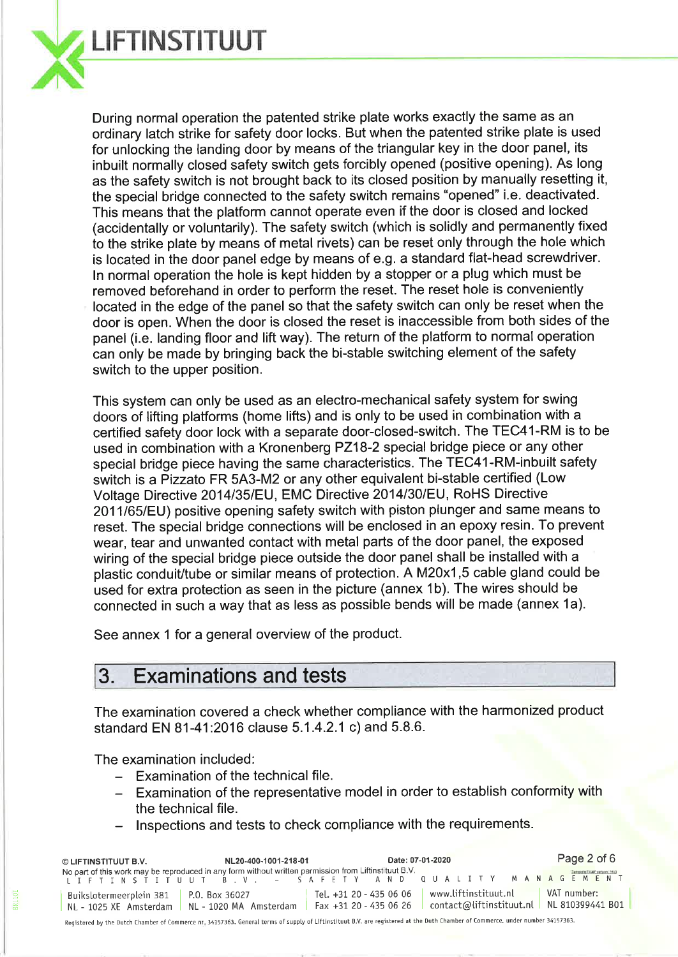

During normal operation the patented strike plate works exactly the same as an ordinary latch strike for safety door locks. But when the patented strike plate is used for unlocking the landing door by means of the triangular key in the door panel, its inbuilt normally closed safety switch gets forcibly opened (positive opening). As long as the safety switch is not brought back to its closed position by manually resetting it, the special bridge connected to the safety switch remains "opened" i.e. deactivated. This means that the platform cannot operate even if the door is closed and locked (accidentally or voluntarily). The safety switch (which is solidly and permanently fixed to the strike plate by means of metal rivets) can be reset only through the hole which is located in the door panel edge by means of e.g. a standard flat-head screwdriver. ln normal operation the hole is kept hidden by a stopper or a plug which must be removed beforehand in order to perform the reset. The reset hole is conveniently located in the edge of the panel so that the safety switch can only be reset when the door is open. When the door is closed the reset is inaccessible from both sides of the panel (i.e. landing floor and lift way). The return of the platform to normal operation can only be made by bringing back the bi-stable switching element of the safety switch to the upper position.

This system can only be used as an electro-mechanical safety system for swing doors of lifting platforms (home lifts) and is only to be used in combination with a certified safety door lock with a separate door-closed-switch. The TEC41-RM is to be used in combination with a Kronenberg PZ18-2 special bridge piece or any other special bridge piece having the same characteristics. The TEC41-RM-inbuilt safety switch is a Pizzato FR 5A3-M2 or any other equivalent bi-stable certified (Low Voltage Directive 2014/35/EU, EMC Directive 2014/30/EU, RoHS Directive 2011/65/EU) positive opening safety switch with piston plunger and same means to reset. The special bridge connections will be enclosed in an epoxy resin. To prevent wear, tear and unwanted contact with metal parts of the door panel, the exposed wiring of the special bridge piece outside the door panel shall be installed with a plastic conduit/tube or similar means of protection. A M20x1,5 cable gland could be used for extra protection as seen in the picture (annex 1b). The wires should be connected in such a way that as less as possible bends will be made (annex 1a).

See annex 1 for a general overview of the product.

## 3. Examinations and tests

The examination covered a check whether compliance with the harmonized product standard EN 81 -41:2016 clause 5.1.4.2.1 c) and 5.8.6.

The examination included:

- Examination of the technical file.
- Examination of the representative model in order to establish conformity with the technical file.
- lnspections and tests to check compliance with the requirements.

| © LIFTINSTITUUT B.V.                                                                                                                                                           | NL20-400-1001-218-01   |                                                   |  | Date: 07-01-2020     | Page 2 of 6                                                           |  |
|--------------------------------------------------------------------------------------------------------------------------------------------------------------------------------|------------------------|---------------------------------------------------|--|----------------------|-----------------------------------------------------------------------|--|
| No part of this work may be reproduced in any form without written permission from Liftinstituut B.V.<br>LIFTINSTITUUT B.V. – SAFETY AND QUALITY MANAGEMENT                    |                        |                                                   |  |                      | Tampiate FAW/ service: 160                                            |  |
| Buikslotermeerplein 381   P.O. Box 36027<br>NL - 1025 XE Amsterdam                                                                                                             | NL - 1020 MA Amsterdam | Tel. +31 20 - 435 06 06<br>Fax +31 20 - 435 06 26 |  | www.liftinstituut.nl | VAT number:<br>$control$ $\alpha$ liftinstituut.nl   NL 810399441 B01 |  |
| Registered by the Dutch Chamber of Commerce nr, 34157363. General terms of supply of Liftinstituut B.V. are registered at the Duth Chamber of Commerce, under number 34157363. |                        |                                                   |  |                      |                                                                       |  |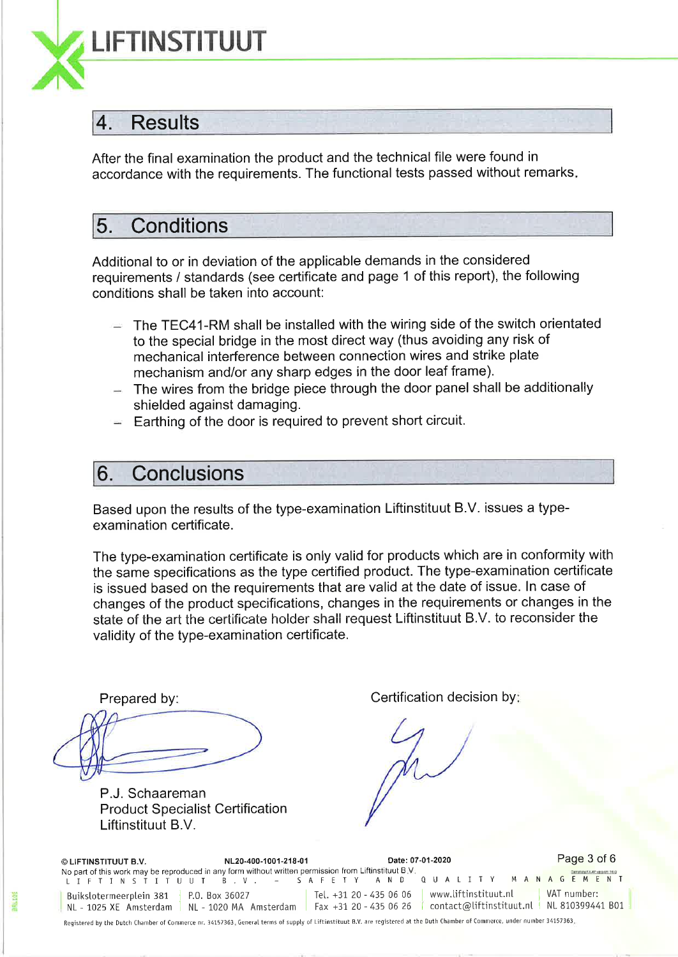

#### 4. Results

After the final examination the product and the technical file were found in accordance with the requirements. The functional tests passed without remarks

### 5. Conditions

Additional to or in deviation of the applicable demands in the considered requirements / standards (see certificate and page 1 of this report), the following conditions shall be taken into account:

- The TEC41-RM shall be installed with the wiring side of the switch orientated to the special bridge in the most direct way (thus avoiding any risk of mechanical interference between connection wires and strike plate mechanism and/or any sharp edges in the door leaf frame).
- The wires from the bridge piece through the door panel shall be additionally shielded against damaging.
- Earthing of the door is required to prevent short circuit.

#### 6. Conclusions

Based upon the results of the type-examination Liftinstituut B.V. issues a typeexamination certificate.

The type-examination certificate is only valid for products which are in conformity with the same specifications as the type certified product. The type-examination certificate is issued based on the requirements that are valid at the date of issue. ln case of changes of the product specifications, changes in the requirements or changes in the state of the art the certificate holder shall request Liftinstituut B.V. to reconsider the validity of the type-examination certificate.

P.J. Schaareman **Product Specialist Certification** Liftinstituut B.V.

Prepared by: Certification decision by:

O LIFTINSTITUUT B.V. NL20-400-1001-218'01 Date: 07-01-2020 No part of this work may be reproduced in any form without written permission from Liftinstituut B.V.<br>LIFTINSTITUUT B.V. - SAFETY AND QUALI Page 3 of 6 MANAGEMENT Bujkstotermeerptein 381 NL - 1025 XE Amsterdam ì p.0. Box 36027 TeL. +31 20 - 435 <sup>06</sup>06 | www.tiftinstituut.nl I VAT number: no. 860 388827<br>NL - 1020 MA Amsterdam Fax +31 20 - 435 06 26 contact@liftinstituut.nl NL 810399441 B01

Reqjstered by the Dutch Chamber of Comnerce nr. 34157363. GeneraI terms of suppty of Liftjnstituut B.V. are registered ðt the Duth Chamber of Commerce, under number 34157363.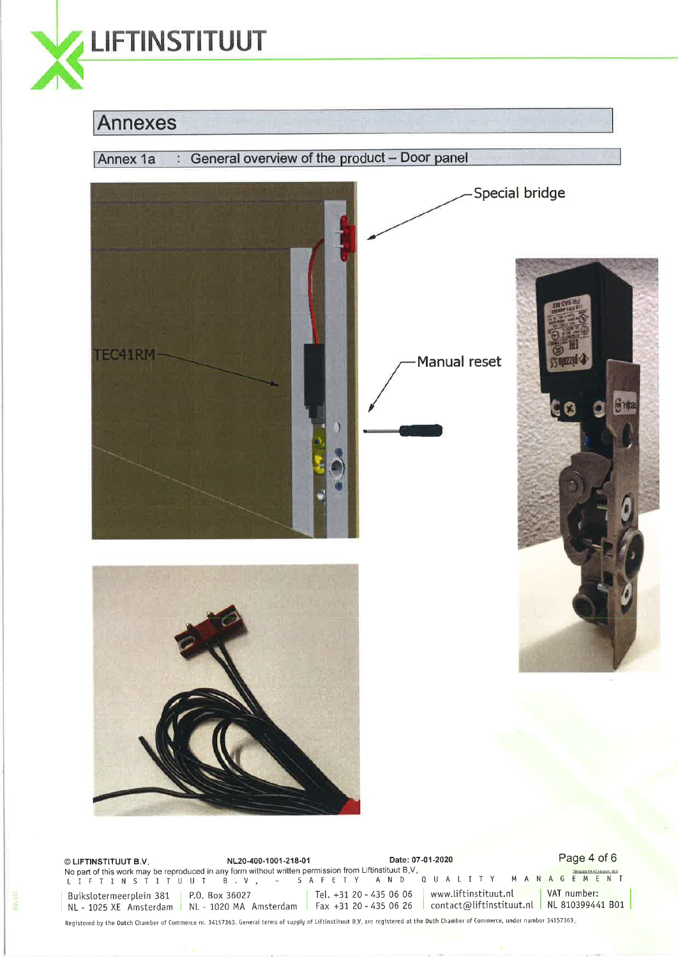

#### Annexes



© LIFTINSTITUUT B.V. ALANDREY NE20-400-1001-218-01 Page 11 Date: 07-01-2020 Page 4 of 6 No part of this work may be reproduced in any form without written permission from Liftinstituut B.V.<br>LIFTINSTITUUT B.V., - SAFETY AND QUALITY MANAGEM Buikslotermeerplein 381 | P.O. Box 36027 Buikslotermeerplein 381 | P.O. Box 36027 | Tel. +31 20 - 435 06 06 | www.liftinstituut.nl | VAT number:<br>NL - 1025 XE Amsterdam | NL - 1020 MA Amsterdam | Fax +31 20 - 435 06 26 | contact@liftinstituut.nl | NL 810399441 B01 | Tel.  $+31$  20 - 435 06 06 | www.liftinstituut.nl VAT number:

Registered by the Dutch Chanber of Commerce nr. 34157363. General terms of supply of Liftinstituut B.V. are registered åt the Duth Chamber of Commerce, under number 34157363.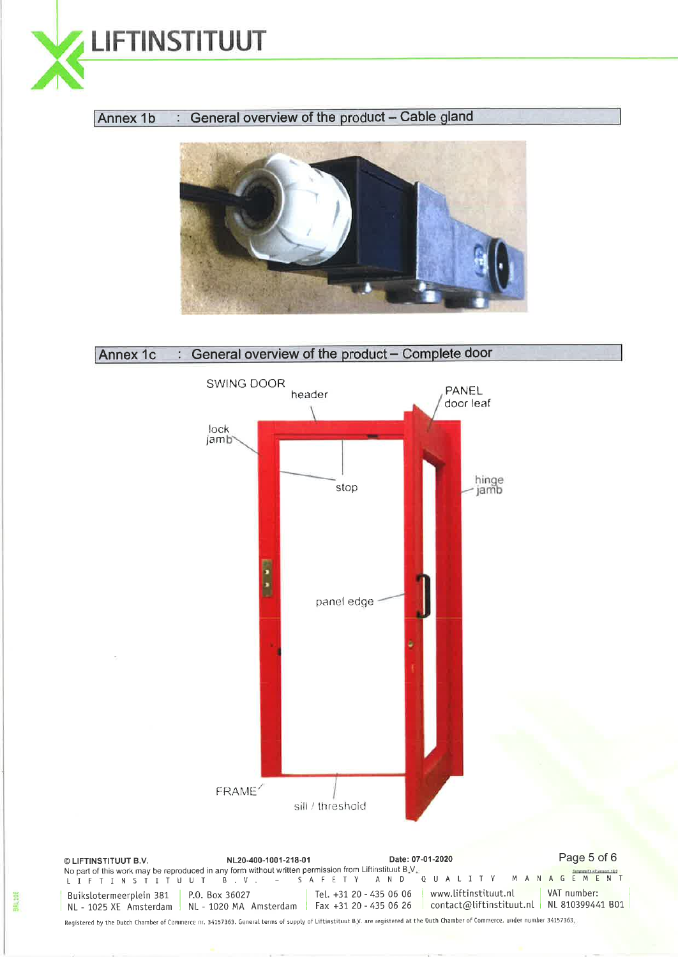

#### Annex  $1b$  : General overview of the product - Cable gland





Registered by the Dutch Chamber of Commerce nr. 34157363. GeneraI terms of suppty of Liftjnstituut B.V. are registered at the Duth Chamber of Commerce, under number 34157363.